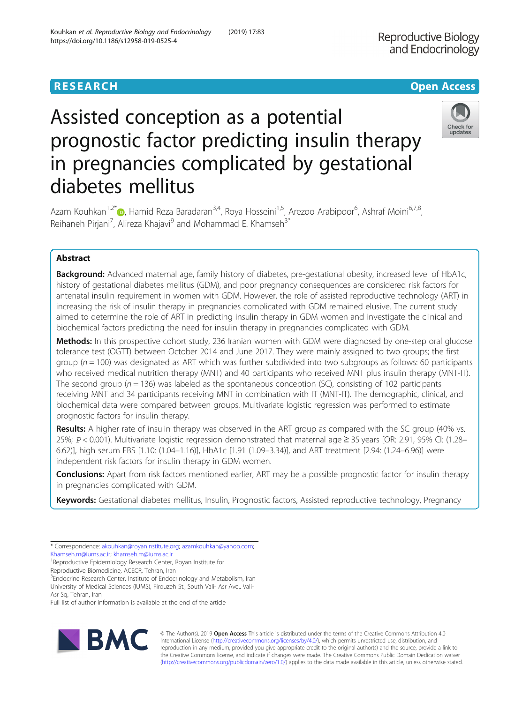# **RESEARCH CHINESE ARCH CHINESE ARCHITECT AND ACCESS**

# Assisted conception as a potential prognostic factor predicting insulin therapy in pregnancies complicated by gestational diabetes mellitus



Azam Kouhkan<sup>1,2[\\*](http://orcid.org/0000-0001-5224-577X)</sup> (**b**, Hamid Reza Baradaran<sup>3,4</sup>, Roya Hosseini<sup>1,5</sup>, Arezoo Arabipoor<sup>6</sup>, Ashraf Moini<sup>6,7,8</sup>, Reihaneh Pirjani<sup>7</sup>, Alireza Khajavi<sup>9</sup> and Mohammad E. Khamseh<sup>3\*</sup>

## Abstract

Background: Advanced maternal age, family history of diabetes, pre-gestational obesity, increased level of HbA1c, history of gestational diabetes mellitus (GDM), and poor pregnancy consequences are considered risk factors for antenatal insulin requirement in women with GDM. However, the role of assisted reproductive technology (ART) in increasing the risk of insulin therapy in pregnancies complicated with GDM remained elusive. The current study aimed to determine the role of ART in predicting insulin therapy in GDM women and investigate the clinical and biochemical factors predicting the need for insulin therapy in pregnancies complicated with GDM.

Methods: In this prospective cohort study, 236 Iranian women with GDM were diagnosed by one-step oral glucose tolerance test (OGTT) between October 2014 and June 2017. They were mainly assigned to two groups; the first group ( $n = 100$ ) was designated as ART which was further subdivided into two subgroups as follows: 60 participants who received medical nutrition therapy (MNT) and 40 participants who received MNT plus insulin therapy (MNT-IT). The second group ( $n = 136$ ) was labeled as the spontaneous conception (SC), consisting of 102 participants receiving MNT and 34 participants receiving MNT in combination with IT (MNT-IT). The demographic, clinical, and biochemical data were compared between groups. Multivariate logistic regression was performed to estimate prognostic factors for insulin therapy.

Results: A higher rate of insulin therapy was observed in the ART group as compared with the SC group (40% vs. 25%; P < 0.001). Multivariate logistic regression demonstrated that maternal age ≥ 35 years [OR: 2.91, 95% CI: (1.28– 6.62)], high serum FBS [1.10: (1.04–1.16)], HbA1c [1.91 (1.09–3.34)], and ART treatment [2.94: (1.24–6.96)] were independent risk factors for insulin therapy in GDM women.

Conclusions: Apart from risk factors mentioned earlier, ART may be a possible prognostic factor for insulin therapy in pregnancies complicated with GDM.

Keywords: Gestational diabetes mellitus, Insulin, Prognostic factors, Assisted reproductive technology, Pregnancy

[Khamseh.m@iums.ac.ir](mailto:Khamseh.m@iums.ac.ir); [khamseh.m@iums.ac.ir](mailto:khamseh.m@iums.ac.ir) <sup>1</sup> <sup>1</sup>Reproductive Epidemiology Research Center, Royan Institute for

Reproductive Biomedicine, ACECR, Tehran, Iran

<sup>3</sup> Endocrine Research Center, Institute of Endocrinology and Metabolism, Iran University of Medical Sciences (IUMS), Firouzeh St., South Vali- Asr Ave., Vali-

Asr Sq, Tehran, Iran

Full list of author information is available at the end of the article



© The Author(s). 2019 **Open Access** This article is distributed under the terms of the Creative Commons Attribution 4.0 International License [\(http://creativecommons.org/licenses/by/4.0/](http://creativecommons.org/licenses/by/4.0/)), which permits unrestricted use, distribution, and reproduction in any medium, provided you give appropriate credit to the original author(s) and the source, provide a link to the Creative Commons license, and indicate if changes were made. The Creative Commons Public Domain Dedication waiver [\(http://creativecommons.org/publicdomain/zero/1.0/](http://creativecommons.org/publicdomain/zero/1.0/)) applies to the data made available in this article, unless otherwise stated.

<sup>\*</sup> Correspondence: [akouhkan@royaninstitute.org](mailto:akouhkan@royaninstitute.org); [azamkouhkan@yahoo.com;](mailto:azamkouhkan@yahoo.com)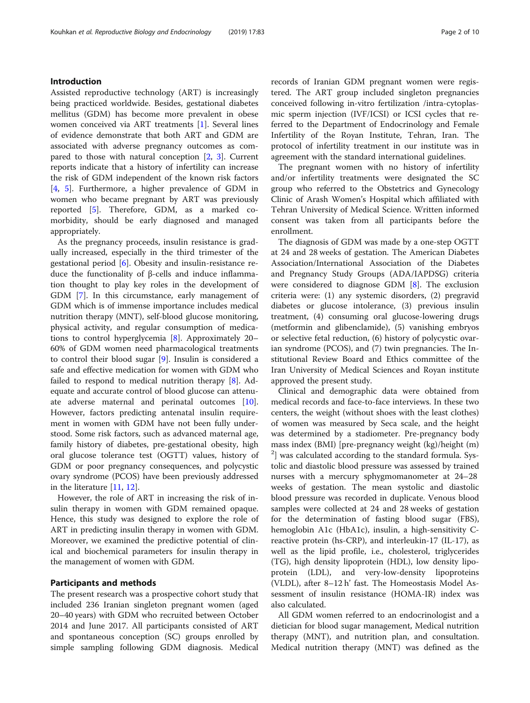#### Introduction

Assisted reproductive technology (ART) is increasingly being practiced worldwide. Besides, gestational diabetes mellitus (GDM) has become more prevalent in obese women conceived via ART treatments [[1\]](#page-8-0). Several lines of evidence demonstrate that both ART and GDM are associated with adverse pregnancy outcomes as compared to those with natural conception [[2,](#page-8-0) [3](#page-8-0)]. Current reports indicate that a history of infertility can increase the risk of GDM independent of the known risk factors [[4,](#page-8-0) [5\]](#page-8-0). Furthermore, a higher prevalence of GDM in women who became pregnant by ART was previously reported [\[5](#page-8-0)]. Therefore, GDM, as a marked comorbidity, should be early diagnosed and managed appropriately.

As the pregnancy proceeds, insulin resistance is gradually increased, especially in the third trimester of the gestational period [[6\]](#page-8-0). Obesity and insulin-resistance reduce the functionality of β-cells and induce inflammation thought to play key roles in the development of GDM [[7\]](#page-8-0). In this circumstance, early management of GDM which is of immense importance includes medical nutrition therapy (MNT), self-blood glucose monitoring, physical activity, and regular consumption of medications to control hyperglycemia [[8\]](#page-8-0). Approximately 20– 60% of GDM women need pharmacological treatments to control their blood sugar [\[9](#page-8-0)]. Insulin is considered a safe and effective medication for women with GDM who failed to respond to medical nutrition therapy [\[8](#page-8-0)]. Adequate and accurate control of blood glucose can attenuate adverse maternal and perinatal outcomes [\[10](#page-8-0)]. However, factors predicting antenatal insulin requirement in women with GDM have not been fully understood. Some risk factors, such as advanced maternal age, family history of diabetes, pre-gestational obesity, high oral glucose tolerance test (OGTT) values, history of GDM or poor pregnancy consequences, and polycystic ovary syndrome (PCOS) have been previously addressed in the literature [[11,](#page-8-0) [12\]](#page-8-0).

However, the role of ART in increasing the risk of insulin therapy in women with GDM remained opaque. Hence, this study was designed to explore the role of ART in predicting insulin therapy in women with GDM. Moreover, we examined the predictive potential of clinical and biochemical parameters for insulin therapy in the management of women with GDM.

#### Participants and methods

The present research was a prospective cohort study that included 236 Iranian singleton pregnant women (aged 20–40 years) with GDM who recruited between October 2014 and June 2017. All participants consisted of ART and spontaneous conception (SC) groups enrolled by simple sampling following GDM diagnosis. Medical records of Iranian GDM pregnant women were registered. The ART group included singleton pregnancies conceived following in-vitro fertilization /intra-cytoplasmic sperm injection (IVF/ICSI) or ICSI cycles that referred to the Department of Endocrinology and Female Infertility of the Royan Institute, Tehran, Iran. The protocol of infertility treatment in our institute was in agreement with the standard international guidelines.

The pregnant women with no history of infertility and/or infertility treatments were designated the SC group who referred to the Obstetrics and Gynecology Clinic of Arash Women's Hospital which affiliated with Tehran University of Medical Science. Written informed consent was taken from all participants before the enrollment.

The diagnosis of GDM was made by a one-step OGTT at 24 and 28 weeks of gestation. The American Diabetes Association/International Association of the Diabetes and Pregnancy Study Groups (ADA/IAPDSG) criteria were considered to diagnose GDM [[8\]](#page-8-0). The exclusion criteria were: (1) any systemic disorders, (2) pregravid diabetes or glucose intolerance, (3) previous insulin treatment, (4) consuming oral glucose-lowering drugs (metformin and glibenclamide), (5) vanishing embryos or selective fetal reduction, (6) history of polycystic ovarian syndrome (PCOS), and (7) twin pregnancies. The Institutional Review Board and Ethics committee of the Iran University of Medical Sciences and Royan institute approved the present study.

Clinical and demographic data were obtained from medical records and face-to-face interviews. In these two centers, the weight (without shoes with the least clothes) of women was measured by Seca scale, and the height was determined by a stadiometer. Pre-pregnancy body mass index (BMI) [pre-pregnancy weight (kg)/height (m) <sup>2</sup>] was calculated according to the standard formula. Systolic and diastolic blood pressure was assessed by trained nurses with a mercury sphygmomanometer at 24–28 weeks of gestation. The mean systolic and diastolic blood pressure was recorded in duplicate. Venous blood samples were collected at 24 and 28 weeks of gestation for the determination of fasting blood sugar (FBS), hemoglobin A1c (HbA1c), insulin, a high-sensitivity Creactive protein (hs-CRP), and interleukin-17 (IL-17), as well as the lipid profile, i.e., cholesterol, triglycerides (TG), high density lipoprotein (HDL), low density lipoprotein (LDL), and very-low-density lipoproteins (VLDL), after 8–12 h' fast. The Homeostasis Model Assessment of insulin resistance (HOMA-IR) index was also calculated.

All GDM women referred to an endocrinologist and a dietician for blood sugar management, Medical nutrition therapy (MNT), and nutrition plan, and consultation. Medical nutrition therapy (MNT) was defined as the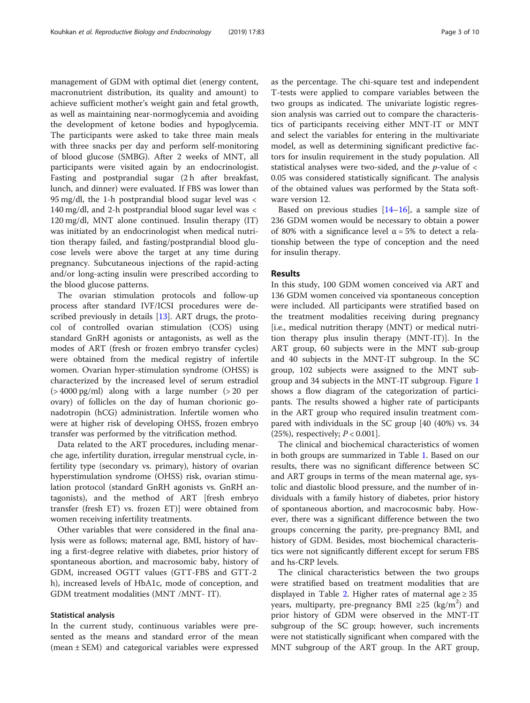management of GDM with optimal diet (energy content, macronutrient distribution, its quality and amount) to achieve sufficient mother's weight gain and fetal growth, as well as maintaining near-normoglycemia and avoiding the development of ketone bodies and hypoglycemia. The participants were asked to take three main meals with three snacks per day and perform self-monitoring of blood glucose (SMBG). After 2 weeks of MNT, all participants were visited again by an endocrinologist. Fasting and postprandial sugar (2 h after breakfast, lunch, and dinner) were evaluated. If FBS was lower than 95 mg/dl, the 1-h postprandial blood sugar level was < 140 mg/dl, and 2-h postprandial blood sugar level was < 120 mg/dl, MNT alone continued. Insulin therapy (IT) was initiated by an endocrinologist when medical nutrition therapy failed, and fasting/postprandial blood glucose levels were above the target at any time during pregnancy. Subcutaneous injections of the rapid-acting and/or long-acting insulin were prescribed according to the blood glucose patterns.

The ovarian stimulation protocols and follow-up process after standard IVF/ICSI procedures were described previously in details [\[13](#page-8-0)]. ART drugs, the protocol of controlled ovarian stimulation (COS) using standard GnRH agonists or antagonists, as well as the modes of ART (fresh or frozen embryo transfer cycles) were obtained from the medical registry of infertile women. Ovarian hyper-stimulation syndrome (OHSS) is characterized by the increased level of serum estradiol  $(>4000 \text{ pg/ml})$  along with a large number  $(>20 \text{ per})$ ovary) of follicles on the day of human chorionic gonadotropin (hCG) administration. Infertile women who were at higher risk of developing OHSS, frozen embryo transfer was performed by the vitrification method.

Data related to the ART procedures, including menarche age, infertility duration, irregular menstrual cycle, infertility type (secondary vs. primary), history of ovarian hyperstimulation syndrome (OHSS) risk, ovarian stimulation protocol (standard GnRH agonists vs. GnRH antagonists), and the method of ART [fresh embryo transfer (fresh ET) vs. frozen ET)] were obtained from women receiving infertility treatments.

Other variables that were considered in the final analysis were as follows; maternal age, BMI, history of having a first-degree relative with diabetes, prior history of spontaneous abortion, and macrosomic baby, history of GDM, increased OGTT values (GTT-FBS and GTT-2 h), increased levels of HbA1c, mode of conception, and GDM treatment modalities (MNT /MNT- IT).

#### Statistical analysis

In the current study, continuous variables were presented as the means and standard error of the mean (mean ± SEM) and categorical variables were expressed as the percentage. The chi-square test and independent T-tests were applied to compare variables between the two groups as indicated. The univariate logistic regression analysis was carried out to compare the characteristics of participants receiving either MNT-IT or MNT and select the variables for entering in the multivariate model, as well as determining significant predictive factors for insulin requirement in the study population. All statistical analyses were two-sided, and the  $p$ -value of  $\lt$ 0.05 was considered statistically significant. The analysis of the obtained values was performed by the Stata software version 12.

Based on previous studies  $[14–16]$  $[14–16]$  $[14–16]$ , a sample size of 236 GDM women would be necessary to obtain a power of 80% with a significance level α = 5% to detect a relationship between the type of conception and the need for insulin therapy.

#### Results

In this study, 100 GDM women conceived via ART and 136 GDM women conceived via spontaneous conception were included. All participants were stratified based on the treatment modalities receiving during pregnancy [i.e., medical nutrition therapy (MNT) or medical nutrition therapy plus insulin therapy (MNT-IT)]. In the ART group, 60 subjects were in the MNT sub-group and 40 subjects in the MNT-IT subgroup. In the SC group, 102 subjects were assigned to the MNT subgroup and 34 subjects in the MNT-IT subgroup. Figure [1](#page-3-0) shows a flow diagram of the categorization of participants. The results showed a higher rate of participants in the ART group who required insulin treatment compared with individuals in the SC group [40 (40%) vs. 34  $(25%)$ , respectively;  $P < 0.001$ .

The clinical and biochemical characteristics of women in both groups are summarized in Table [1.](#page-4-0) Based on our results, there was no significant difference between SC and ART groups in terms of the mean maternal age, systolic and diastolic blood pressure, and the number of individuals with a family history of diabetes, prior history of spontaneous abortion, and macrocosmic baby. However, there was a significant difference between the two groups concerning the parity, pre-pregnancy BMI, and history of GDM. Besides, most biochemical characteristics were not significantly different except for serum FBS and hs-CRP levels.

The clinical characteristics between the two groups were stratified based on treatment modalities that are displayed in Table [2](#page-5-0). Higher rates of maternal age  $\geq 35$ years, multiparty, pre-pregnancy BMI ≥25 (kg/m<sup>2</sup>) and prior history of GDM were observed in the MNT-IT subgroup of the SC group; however, such increments were not statistically significant when compared with the MNT subgroup of the ART group. In the ART group,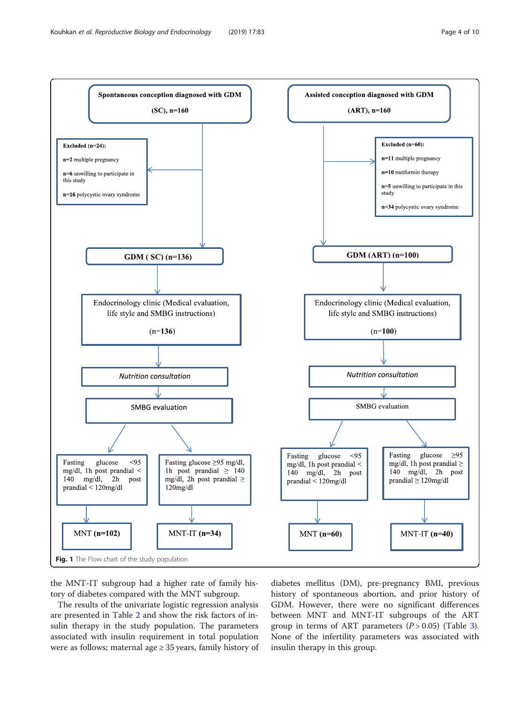<span id="page-3-0"></span>

the MNT-IT subgroup had a higher rate of family history of diabetes compared with the MNT subgroup.

The results of the univariate logistic regression analysis are presented in Table [2](#page-5-0) and show the risk factors of insulin therapy in the study population. The parameters associated with insulin requirement in total population were as follows; maternal age  $\geq$  35 years, family history of

diabetes mellitus (DM), pre-pregnancy BMI, previous history of spontaneous abortion, and prior history of GDM. However, there were no significant differences between MNT and MNT-IT subgroups of the ART group in terms of ART parameters  $(P > 0.05)$  (Table [3](#page-5-0)). None of the infertility parameters was associated with insulin therapy in this group.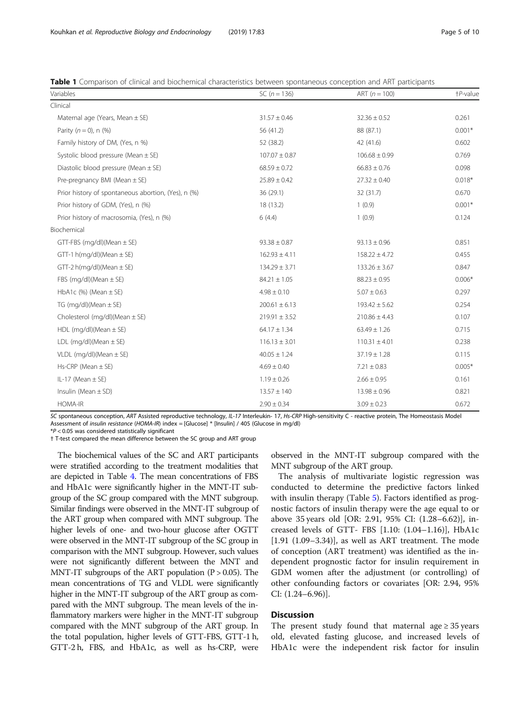<span id="page-4-0"></span>Table 1 Comparison of clinical and biochemical characteristics between spontaneous conception and ART participants

| Variables                                           | SC $(n = 136)$    | ART $(n = 100)$   | +P-value |
|-----------------------------------------------------|-------------------|-------------------|----------|
| Clinical                                            |                   |                   |          |
| Maternal age (Years, Mean $\pm$ SE)                 | $31.57 \pm 0.46$  | $32.36 \pm 0.52$  | 0.261    |
| Parity $(n = 0)$ , n $(%)$                          | 56 (41.2)         | 88 (87.1)         | $0.001*$ |
| Family history of DM, (Yes, n %)                    | 52 (38.2)         | 42 (41.6)         | 0.602    |
| Systolic blood pressure (Mean $\pm$ SE)             | $107.07 \pm 0.87$ | $106.68 \pm 0.99$ | 0.769    |
| Diastolic blood pressure (Mean $\pm$ SE)            | $68.59 \pm 0.72$  | $66.83 \pm 0.76$  | 0.098    |
| Pre-pregnancy BMI (Mean $\pm$ SE)                   | $25.89 \pm 0.42$  | $27.32 \pm 0.40$  | $0.018*$ |
| Prior history of spontaneous abortion, (Yes), n (%) | 36 (29.1)         | 32(31.7)          | 0.670    |
| Prior history of GDM, (Yes), n (%)                  | 18 (13.2)         | 1(0.9)            | $0.001*$ |
| Prior history of macrosomia, (Yes), n (%)           | 6(4.4)            | 1(0.9)            | 0.124    |
| Biochemical                                         |                   |                   |          |
| GTT-FBS (mg/dl)(Mean $\pm$ SE)                      | $93.38 \pm 0.87$  | $93.13 \pm 0.96$  | 0.851    |
| GTT-1 $h(mq/dl)$ (Mean $\pm$ SE)                    | $162.93 \pm 4.11$ | $158.22 \pm 4.72$ | 0.455    |
| GTT-2 h(mg/dl)(Mean $\pm$ SE)                       | $134.29 \pm 3.71$ | $133.26 \pm 3.67$ | 0.847    |
| FBS (mg/dl)(Mean $\pm$ SE)                          | $84.21 \pm 1.05$  | $88.23 \pm 0.95$  | $0.006*$ |
| HbA1c $(\%)$ (Mean $\pm$ SE)                        | $4.98 \pm 0.10$   | $5.07 \pm 0.63$   | 0.297    |
| TG (mg/dl)(Mean $\pm$ SE)                           | $200.61 \pm 6.13$ | $193.42 \pm 5.62$ | 0.254    |
| Cholesterol (mg/dl)(Mean $\pm$ SE)                  | $219.91 \pm 3.52$ | $210.86 \pm 4.43$ | 0.107    |
| HDL (mg/dl)(Mean $\pm$ SE)                          | $64.17 \pm 1.34$  | $63.49 \pm 1.26$  | 0.715    |
| LDL (mg/dl)(Mean $\pm$ SE)                          | $116.13 \pm 3.01$ | $110.31 \pm 4.01$ | 0.238    |
| VLDL (mg/dl)(Mean $\pm$ SE)                         | $40.05 \pm 1.24$  | $37.19 \pm 1.28$  | 0.115    |
| $Hs-CRP$ (Mean $\pm$ SE)                            | $4.69 \pm 0.40$   | $7.21 \pm 0.83$   | $0.005*$ |
| IL-17 (Mean $\pm$ SE)                               | $1.19 \pm 0.26$   | $2.66 \pm 0.95$   | 0.161    |
| Insulin (Mean $\pm$ SD)                             | $13.57 \pm 140$   | $13.98 \pm 0.96$  | 0.821    |
| <b>HOMA-IR</b>                                      | $2.90 \pm 0.34$   | $3.09 \pm 0.23$   | 0.672    |

SC spontaneous conception, ART Assisted reproductive technology, IL-17 Interleukin- 17, Hs-CRP High-sensitivity C - reactive protein, The Homeostasis Model Assessment of insulin resistance (HOMA-IR) index = [Glucose] \* [Insulin] / 405 (Glucose in mg/dl)

 $*P$  < 0.05 was considered statistically significant

† T-test compared the mean difference between the SC group and ART group

The biochemical values of the SC and ART participants were stratified according to the treatment modalities that are depicted in Table [4](#page-6-0). The mean concentrations of FBS and HbA1c were significantly higher in the MNT-IT subgroup of the SC group compared with the MNT subgroup. Similar findings were observed in the MNT-IT subgroup of the ART group when compared with MNT subgroup. The higher levels of one- and two-hour glucose after OGTT were observed in the MNT-IT subgroup of the SC group in comparison with the MNT subgroup. However, such values were not significantly different between the MNT and MNT-IT subgroups of the ART population  $(P > 0.05)$ . The mean concentrations of TG and VLDL were significantly higher in the MNT-IT subgroup of the ART group as compared with the MNT subgroup. The mean levels of the inflammatory markers were higher in the MNT-IT subgroup compared with the MNT subgroup of the ART group. In the total population, higher levels of GTT-FBS, GTT-1 h, GTT-2 h, FBS, and HbA1c, as well as hs-CRP, were observed in the MNT-IT subgroup compared with the MNT subgroup of the ART group.

The analysis of multivariate logistic regression was conducted to determine the predictive factors linked with insulin therapy (Table [5](#page-6-0)). Factors identified as prognostic factors of insulin therapy were the age equal to or above 35 years old [OR: 2.91, 95% CI: (1.28–6.62)], increased levels of GTT- FBS [1.10: (1.04–1.16)], HbA1c  $[1.91 (1.09-3.34)]$ , as well as ART treatment. The mode of conception (ART treatment) was identified as the independent prognostic factor for insulin requirement in GDM women after the adjustment (or controlling) of other confounding factors or covariates [OR: 2.94, 95% CI: (1.24–6.96)].

#### Discussion

The present study found that maternal age  $\geq$  35 years old, elevated fasting glucose, and increased levels of HbA1c were the independent risk factor for insulin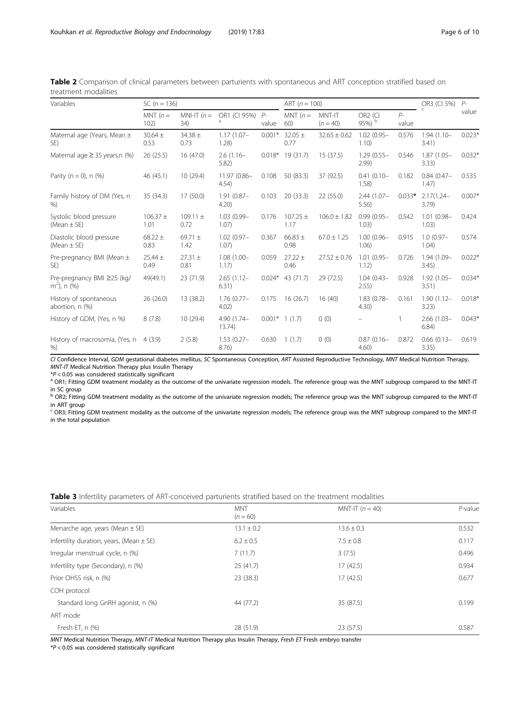| Variables                                    | $SC(n = 136)$        |                      |                           | ART $(n = 100)$ |                      |                      | OR3 (CI 5%)                   | $P-$          |                        |          |
|----------------------------------------------|----------------------|----------------------|---------------------------|-----------------|----------------------|----------------------|-------------------------------|---------------|------------------------|----------|
|                                              | MNT $(n=$<br>102)    | MNI-IT $(n=$<br>34)  | OR1 (CI 95%)<br>a         | $P-$<br>value   | MNT $(n=$<br>60)     | MNT-IT<br>$(n = 40)$ | OR <sub>2</sub> (CI<br>95%) b | $P-$<br>value |                        | value    |
| Maternal age (Years, Mean $\pm$<br>SE)       | $30.64 \pm$<br>0.53  | $34.38 \pm$<br>0.73  | $1.17(1.07 -$<br>1.28)    | $0.001*$        | $32.05 \pm$<br>0.77  | $32.65 \pm 0.62$     | $1.02(0.95 -$<br>1.10)        | 0.576         | $1.94(1.10 -$<br>3.41) | $0.023*$ |
| Maternal age $\geq$ 35 years, n (%)          | 26(25.5)             | 16(47.0)             | $2.6(1.16 -$<br>5.82      | $0.018*$        | 19 (31.7)            | 15(37.5)             | $1.29(0.55 -$<br>2.99         | 0.546         | $1.87(1.05 -$<br>3.33) | $0.032*$ |
| Parity ( $n = 0$ ), $n$ (%)                  | 46 (45.1)            | 10(29.4)             | $11.97(0.86 -$<br>4.54)   | 0.108           | 50 (83.3)            | 37 (92.5)            | $0.41(0.10 -$<br>1.58)        | 0.182         | $0.84(0.47 -$<br>1.47) | 0.535    |
| Family history of DM (Yes, n<br>%            | 35 (34.3)            | 17(50.0)             | $1.91(0.87 -$<br>4.20     | 0.103           | 20 (33.3)            | 22 (55.0)            | $2.44(1.07 -$<br>5.56)        | $0.033*$      | $2.17(1.24 -$<br>3.79) | $0.007*$ |
| Systolic blood pressure<br>(Mean $\pm$ SE)   | $106.37 \pm$<br>1.01 | $109.11 \pm$<br>0.72 | 1.03 (0.99-<br>1.07)      | 0.176           | $107.25 \pm$<br>1.17 | $106.0 \pm 1.82$     | $0.99(0.95 -$<br>1.03)        | 0.542         | $1.01(0.98 -$<br>1.03) | 0.424    |
| Diastolic blood pressure<br>(Mean $\pm$ SE)  | $68.22 \pm$<br>0.83  | 69.71 $\pm$<br>1.42  | $1.02(0.97 -$<br>1.07)    | 0.367           | $66.83 \pm$<br>0.98  | $67.0 \pm 1.25$      | $1.00(0.96 -$<br>1.06)        | 0.915         | $1.0(0.97 -$<br>1.04)  | 0.574    |
| Pre-pregnancy BMI (Mean $\pm$<br>SE)         | $25.44 \pm$<br>0.49  | $27.31 \pm$<br>0.81  | $1.08(1.00 -$<br>1.17)    | 0.059           | $27.22 \pm$<br>0.46  | $27.52 \pm 0.76$     | $1.01(0.95 -$<br>1.12)        | 0.726         | 1.94 (1.09-<br>3.45)   | $0.022*$ |
| Pre-pregnancy BMI ≥25 (kg/<br>$m^2$ ), n (%) | 49(49.1)             | 23 (71.9)            | $2.65(1.12 -$<br>6.31)    | $0.024*$        | 43 (71.7)            | 29 (72.5)            | $1.04(0.43 -$<br>2.55)        | 0.928         | $1.92(1.05 -$<br>3.51) | $0.034*$ |
| History of spontaneous<br>abortion, n (%)    | 26(26.0)             | 13 (38.2)            | $1.76(0.77 -$<br>4.02)    | 0.175           | 16(26.7)             | 16(40)               | $1.83(0.78 -$<br>4.30)        | 0.161         | $1.90(1.12 -$<br>3.23) | $0.018*$ |
| History of GDM, (Yes, n %)                   | 8(7.8)               | 10(29.4)             | 4.90 (1.74-<br>13.74)     |                 | $0.001*$ 1 (1.7)     | 0(0)                 |                               |               | $2.66(1.03 -$<br>6.84) | $0.043*$ |
| History of macrosomia, (Yes, n<br>%          | 4(3.9)               | 2(5.8)               | $1.53(0.27 -$<br>$8.76$ ) | 0.630           | 1(1.7)               | 0(0)                 | $0.87(0.16 -$<br>4.60)        | 0.872         | $0.66(0.13 -$<br>3.35) | 0.619    |

<span id="page-5-0"></span>Table 2 Comparison of clinical parameters between parturients with spontaneous and ART conception stratified based on treatment modalities

CI Confidence Interval, GDM gestational diabetes mellitus, SC Spontaneous Conception, ART Assisted Reproductive Technology, MNT Medical Nutrition Therapy,  $MNT-IT$  Medical Nutrition Therapy plus Insulin Therapy  $*P < 0.05$  was considered statistically significant

<sup>a</sup> OR1; Fitting GDM treatment modality as the outcome of the univariate regression models. The reference group was the MNT subgroup compared to the MNT-IT in SC group<br><sup>b</sup> OR2; Fitting GDM treatment modality as the outcome of the univariate regression models; The reference group was the MNT subgroup compared to the MNT-IT

in ART group in ART group<br><sup>c</sup> OR3; Fitting GDM treatment modality as the outcome of the univariate regression models; The reference group was the MNT subgroup compared to the MNT-IT

in the total population

| Variables                                    | <b>MNT</b><br>$(n = 60)$ | MNT-IT $(n=40)$ | $P$ -value |
|----------------------------------------------|--------------------------|-----------------|------------|
| Menarche age, years (Mean $\pm$ SE)          | $13.1 \pm 0.2$           | $13.6 \pm 0.3$  | 0.532      |
| Infertility duration, years, (Mean $\pm$ SE) | $6.2 \pm 0.5$            | $7.5 \pm 0.8$   | 0.117      |
| Irregular menstrual cycle, n (%)             | 7(11.7)                  | 3(7.5)          | 0.496      |
| Infertility type (Secondary), n (%)          | 25(41.7)                 | 17(42.5)        | 0.934      |
| Prior OHSS risk, n (%)                       | 23 (38.3)                | 17(42.5)        | 0.677      |
| COH protocol                                 |                          |                 |            |
| Standard long GnRH agonist, n (%)            | 44 (77.2)                | 35 (87.5)       | 0.199      |
| ART mode                                     |                          |                 |            |
| Fresh ET, $n$ $(\%)$                         | 28 (51.9)                | 23 (57.5)       | 0.587      |

**Table 3** Infertility parameters of ART-conceived parturients stratified based on the treatment modalities

MNT Medical Nutrition Therapy, MNT-IT Medical Nutrition Therapy plus Insulin Therapy, Fresh ET Fresh embryo transfer

 $*P < 0.05$  was considered statistically significant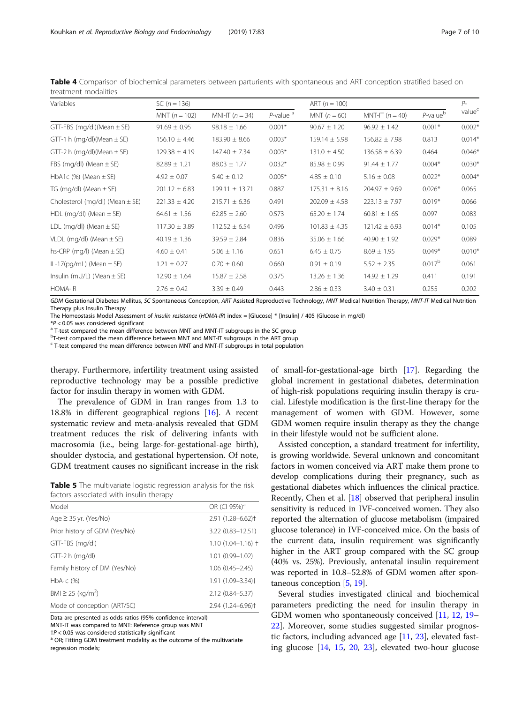| SC $(n = 136)$    |                    |                         | ART $(n = 100)$   |                   |                    | $P-$               |
|-------------------|--------------------|-------------------------|-------------------|-------------------|--------------------|--------------------|
| MNT $(n = 102)$   | MNI-IT $(n = 34)$  | $P$ -value <sup>a</sup> | MNT $(n = 60)$    | MNT-IT $(n = 40)$ | $P$ -value $b$     | value <sup>c</sup> |
| $91.69 \pm 0.95$  | $98.18 \pm 1.66$   | $0.001*$                | $90.67 \pm 1.20$  | $96.92 \pm 1.42$  | $0.001*$           | $0.002*$           |
| $156.10 \pm 4.46$ | $183.90 \pm 8.66$  | $0.003*$                | $159.14 \pm 5.98$ | $156.82 \pm 7.98$ | 0.813              | $0.014*$           |
| $129.38 \pm 4.19$ | $147.40 \pm 7.34$  | $0.003*$                | $131.0 \pm 4.50$  | $136.58 \pm 6.39$ | 0.464              | $0.046*$           |
| $82.89 \pm 1.21$  | $88.03 \pm 1.77$   | $0.032*$                | $85.98 \pm 0.99$  | $91.44 \pm 1.77$  | $0.004*$           | $0.030*$           |
| $4.92 \pm 0.07$   | $5.40 \pm 0.12$    | $0.005*$                | $4.85 \pm 0.10$   | $5.16 \pm 0.08$   | $0.022*$           | $0.004*$           |
| $201.12 \pm 6.83$ | $199.11 \pm 13.71$ | 0.887                   | $175.31 \pm 8.16$ | $204.97 \pm 9.69$ | $0.026*$           | 0.065              |
| $221.33 \pm 4.20$ | $215.71 \pm 6.36$  | 0.491                   | $202.09 \pm 4.58$ | $223.13 \pm 7.97$ | $0.019*$           | 0.066              |
| $64.61 \pm 1.56$  | $62.85 \pm 2.60$   | 0.573                   | $65.20 \pm 1.74$  | $60.81 \pm 1.65$  | 0.097              | 0.083              |
| $117.30 \pm 3.89$ | $112.52 \pm 6.54$  | 0.496                   | $101.83 \pm 4.35$ | $121.42 \pm 6.93$ | $0.014*$           | 0.105              |
| $40.19 \pm 1.36$  | $39.59 \pm 2.84$   | 0.836                   | $35.06 \pm 1.66$  | $40.90 \pm 1.92$  | $0.029*$           | 0.089              |
| $4.60 \pm 0.41$   | $5.06 \pm 1.16$    | 0.651                   | $6.45 \pm 0.75$   | $8.69 \pm 1.95$   | $0.049*$           | $0.010*$           |
| $1.21 \pm 0.27$   | $0.70 \pm 0.60$    | 0.660                   | $0.91 \pm 0.19$   | $5.52 \pm 2.35$   | 0.017 <sup>b</sup> | 0.061              |
| $12.90 \pm 1.64$  | $15.87 \pm 2.58$   | 0.375                   | $13.26 \pm 1.36$  | $14.92 \pm 1.29$  | 0.411              | 0.191              |
| $2.76 \pm 0.42$   | $3.39 \pm 0.49$    | 0.443                   | $2.86 \pm 0.33$   | $3.40 \pm 0.31$   | 0.255              | 0.202              |
|                   |                    |                         |                   |                   |                    |                    |

<span id="page-6-0"></span>Table 4 Comparison of biochemical parameters between parturients with spontaneous and ART conception stratified based on treatment modalities

GDM Gestational Diabetes Mellitus, SC Spontaneous Conception, ART Assisted Reproductive Technology, MNT Medical Nutrition Therapy, MNT-IT Medical Nutrition Therapy plus Insulin Therapy

The Homeostasis Model Assessment of *insulin resistance* (HOMA-IR) index = [Glucose] \* [Insulin] / 405 (Glucose in mg/dl)<br>\*P < 0.05 was considered significant

<sup>a</sup> T-test compared the mean difference between MNT and MNT-IT subgroups in the SC group

<sup>b</sup>T-test compared the mean difference between MNT and MNT-IT subgroups in the ART group

<sup>c</sup> T-test compared the mean difference between MNT and MNT-IT subgroups in total population

therapy. Furthermore, infertility treatment using assisted reproductive technology may be a possible predictive factor for insulin therapy in women with GDM.

The prevalence of GDM in Iran ranges from 1.3 to 18.8% in different geographical regions [[16\]](#page-8-0). A recent systematic review and meta-analysis revealed that GDM treatment reduces the risk of delivering infants with macrosomia (i.e., being large-for-gestational-age birth), shoulder dystocia, and gestational hypertension. Of note, GDM treatment causes no significant increase in the risk

Table 5 The multivariate logistic regression analysis for the risk factors associated with insulin therapy

| Model                         | OR (CI 95%) <sup>a</sup>      |
|-------------------------------|-------------------------------|
| Age $\geq$ 35 yr. (Yes/No)    | 2.91 (1.28-6.62) <sup>+</sup> |
| Prior history of GDM (Yes/No) | 3.22 (0.83-12.51)             |
| GTT-FBS (mg/dl)               | $1.10(1.04 - 1.16)$ †         |
| $GTT-2 h (mg/dl)$             | $1.01(0.99 - 1.02)$           |
| Family history of DM (Yes/No) | $1.06(0.45 - 2.45)$           |
| $HbA_1C$ (%)                  | 1.91 (1.09-3.34) <sup>+</sup> |
| BMI ≥ 25 (kg/m <sup>2</sup> ) | 2.12 (0.84-5.37)              |
| Mode of conception (ART/SC)   | 2.94 (1.24-6.96) <sup>+</sup> |

Data are presented as odds ratios (95% confidence interval) MNT-IT was compared to MNT: Reference group was MNT

 $\uparrow$ P < 0.05 was considered statistically significant<br><sup>a</sup> OR; Fitting GDM treatment modality as the outcome of the multivariate

regression models;

of small-for-gestational-age birth [\[17](#page-8-0)]. Regarding the global increment in gestational diabetes, determination of high-risk populations requiring insulin therapy is crucial. Lifestyle modification is the first-line therapy for the management of women with GDM. However, some GDM women require insulin therapy as they the change in their lifestyle would not be sufficient alone.

Assisted conception, a standard treatment for infertility, is growing worldwide. Several unknown and concomitant factors in women conceived via ART make them prone to develop complications during their pregnancy, such as gestational diabetes which influences the clinical practice. Recently, Chen et al. [\[18\]](#page-8-0) observed that peripheral insulin sensitivity is reduced in IVF-conceived women. They also reported the alternation of glucose metabolism (impaired glucose tolerance) in IVF-conceived mice. On the basis of the current data, insulin requirement was significantly higher in the ART group compared with the SC group (40% vs. 25%). Previously, antenatal insulin requirement was reported in 10.8–52.8% of GDM women after spontaneous conception [\[5](#page-8-0), [19\]](#page-8-0).

Several studies investigated clinical and biochemical parameters predicting the need for insulin therapy in GDM women who spontaneously conceived [[11](#page-8-0), [12,](#page-8-0) [19](#page-8-0)– [22\]](#page-8-0). Moreover, some studies suggested similar prognostic factors, including advanced age [[11,](#page-8-0) [23\]](#page-9-0), elevated fasting glucose [[14](#page-8-0), [15,](#page-8-0) [20](#page-8-0), [23\]](#page-9-0), elevated two-hour glucose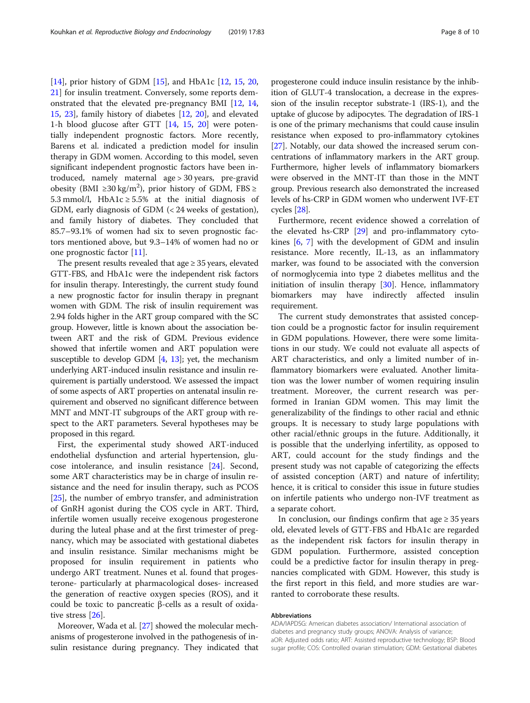[[14\]](#page-8-0), prior history of GDM [\[15\]](#page-8-0), and HbA1c [[12,](#page-8-0) [15,](#page-8-0) [20](#page-8-0), [21\]](#page-8-0) for insulin treatment. Conversely, some reports demonstrated that the elevated pre-pregnancy BMI [\[12](#page-8-0), [14](#page-8-0), [15,](#page-8-0) [23](#page-9-0)], family history of diabetes [[12,](#page-8-0) [20](#page-8-0)], and elevated 1-h blood glucose after GTT [[14,](#page-8-0) [15](#page-8-0), [20\]](#page-8-0) were potentially independent prognostic factors. More recently, Barens et al. indicated a prediction model for insulin therapy in GDM women. According to this model, seven significant independent prognostic factors have been introduced, namely maternal age > 30 years, pre-gravid obesity (BMI ≥30 kg/m<sup>2</sup>), prior history of GDM, FBS ≥ 5.3 mmol/l, HbA1c  $\geq$  5.5% at the initial diagnosis of GDM, early diagnosis of GDM (< 24 weeks of gestation), and family history of diabetes. They concluded that 85.7–93.1% of women had six to seven prognostic factors mentioned above, but 9.3–14% of women had no or one prognostic factor [\[11](#page-8-0)].

The present results revealed that age  $\geq$  35 years, elevated GTT-FBS, and HbA1c were the independent risk factors for insulin therapy. Interestingly, the current study found a new prognostic factor for insulin therapy in pregnant women with GDM. The risk of insulin requirement was 2.94 folds higher in the ART group compared with the SC group. However, little is known about the association between ART and the risk of GDM. Previous evidence showed that infertile women and ART population were susceptible to develop GDM [\[4,](#page-8-0) [13](#page-8-0)]; yet, the mechanism underlying ART-induced insulin resistance and insulin requirement is partially understood. We assessed the impact of some aspects of ART properties on antenatal insulin requirement and observed no significant difference between MNT and MNT-IT subgroups of the ART group with respect to the ART parameters. Several hypotheses may be proposed in this regard.

First, the experimental study showed ART-induced endothelial dysfunction and arterial hypertension, glucose intolerance, and insulin resistance [[24\]](#page-9-0). Second, some ART characteristics may be in charge of insulin resistance and the need for insulin therapy, such as PCOS [[25\]](#page-9-0), the number of embryo transfer, and administration of GnRH agonist during the COS cycle in ART. Third, infertile women usually receive exogenous progesterone during the luteal phase and at the first trimester of pregnancy, which may be associated with gestational diabetes and insulin resistance. Similar mechanisms might be proposed for insulin requirement in patients who undergo ART treatment. Nunes et al. found that progesterone- particularly at pharmacological doses- increased the generation of reactive oxygen species (ROS), and it could be toxic to pancreatic β-cells as a result of oxidative stress [[26\]](#page-9-0).

Moreover, Wada et al. [\[27\]](#page-9-0) showed the molecular mechanisms of progesterone involved in the pathogenesis of insulin resistance during pregnancy. They indicated that progesterone could induce insulin resistance by the inhibition of GLUT-4 translocation, a decrease in the expression of the insulin receptor substrate-1 (IRS-1), and the uptake of glucose by adipocytes. The degradation of IRS-1 is one of the primary mechanisms that could cause insulin resistance when exposed to pro-inflammatory cytokines [[27](#page-9-0)]. Notably, our data showed the increased serum concentrations of inflammatory markers in the ART group. Furthermore, higher levels of inflammatory biomarkers were observed in the MNT-IT than those in the MNT group. Previous research also demonstrated the increased levels of hs-CRP in GDM women who underwent IVF-ET cycles [[28\]](#page-9-0).

Furthermore, recent evidence showed a correlation of the elevated hs-CRP [\[29\]](#page-9-0) and pro-inflammatory cytokines [\[6](#page-8-0), [7](#page-8-0)] with the development of GDM and insulin resistance. More recently, IL-13, as an inflammatory marker, was found to be associated with the conversion of normoglycemia into type 2 diabetes mellitus and the initiation of insulin therapy [\[30](#page-9-0)]. Hence, inflammatory biomarkers may have indirectly affected insulin requirement.

The current study demonstrates that assisted conception could be a prognostic factor for insulin requirement in GDM populations. However, there were some limitations in our study. We could not evaluate all aspects of ART characteristics, and only a limited number of inflammatory biomarkers were evaluated. Another limitation was the lower number of women requiring insulin treatment. Moreover, the current research was performed in Iranian GDM women. This may limit the generalizability of the findings to other racial and ethnic groups. It is necessary to study large populations with other racial/ethnic groups in the future. Additionally, it is possible that the underlying infertility, as opposed to ART, could account for the study findings and the present study was not capable of categorizing the effects of assisted conception (ART) and nature of infertility; hence, it is critical to consider this issue in future studies on infertile patients who undergo non-IVF treatment as a separate cohort.

In conclusion, our findings confirm that age  $\geq$  35 years old, elevated levels of GTT-FBS and HbA1c are regarded as the independent risk factors for insulin therapy in GDM population. Furthermore, assisted conception could be a predictive factor for insulin therapy in pregnancies complicated with GDM. However, this study is the first report in this field, and more studies are warranted to corroborate these results.

#### Abbreviations

ADA/IAPDSG: American diabetes association/ International association of diabetes and pregnancy study groups; ANOVA: Analysis of variance; aOR: Adjusted odds ratio; ART: Assisted reproductive technology; BSP: Blood sugar profile; COS: Controlled ovarian stimulation; GDM: Gestational diabetes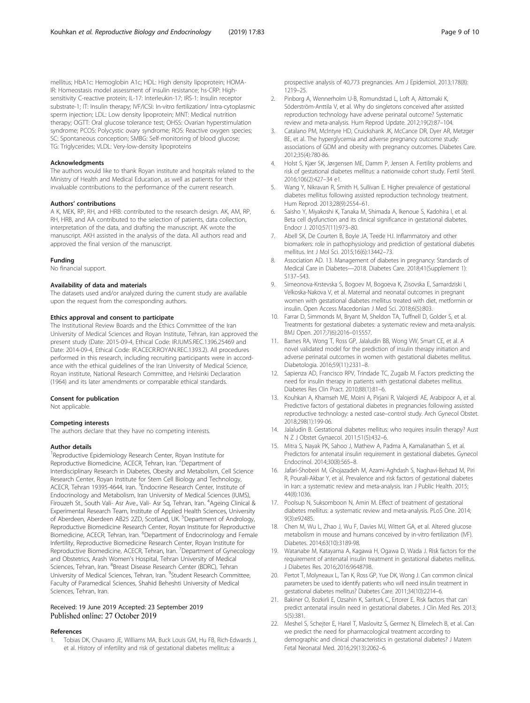<span id="page-8-0"></span>mellitus; HbA1c: Hemoglobin A1c; HDL: High density lipoprotein; HOMA-IR: Homeostasis model assessment of insulin resistance; hs-CRP: Highsensitivity C-reactive protein; IL-17: Interleukin-17; IRS-1: Insulin receptor substrate-1; IT: Insulin therapy; IVF/ICSI: In-vitro fertilization/ Intra-cytoplasmic sperm injection; LDL: Low density lipoprotein; MNT: Medical nutrition therapy; OGTT: Oral glucose tolerance test; OHSS: Ovarian hyperstimulation syndrome; PCOS: Polycystic ovary syndrome; ROS: Reactive oxygen species; SC: Spontaneous conception; SMBG: Self-monitoring of blood glucose; TG: Triglycerides; VLDL: Very-low-density lipoproteins

#### Acknowledgments

The authors would like to thank Royan institute and hospitals related to the Ministry of Health and Medical Education, as well as patients for their invaluable contributions to the performance of the current research.

#### Authors' contributions

A K, MEK, RP, RH, and HRB: contributed to the research design. AK, AM, RP, RH, HRB, and AA contributed to the selection of patients, data collection, interpretation of the data, and drafting the manuscript. AK wrote the manuscript. AKH assisted in the analysis of the data. All authors read and approved the final version of the manuscript.

#### Funding

No financial support.

#### Availability of data and materials

The datasets used and/or analyzed during the current study are available upon the request from the corresponding authors.

#### Ethics approval and consent to participate

The Institutional Review Boards and the Ethics Committee of the Iran University of Medical Sciences and Royan Institute, Tehran, Iran approved the present study (Date: 2015-09-4, Ethical Code: IR.IUMS.REC.1396.25469 and Date: 2014-09-4, Ethical Code: IR.ACECR.ROYAN.REC.1393.2). All procedures performed in this research, including recruiting participants were in accordance with the ethical guidelines of the Iran University of Medical Science, Royan institute, National Research Committee, and Helsinki Declaration (1964) and its later amendments or comparable ethical standards.

#### Consent for publication

Not applicable.

#### Competing interests

The authors declare that they have no competing interests.

#### Author details

<sup>1</sup>Reproductive Epidemiology Research Center, Royan Institute for Reproductive Biomedicine, ACECR, Tehran, Iran. <sup>2</sup>Department of Interdisciplinary Research in Diabetes, Obesity and Metabolism, Cell Science Research Center, Royan Institute for Stem Cell Biology and Technology, ACECR, Tehran 19395-4644, Iran. <sup>3</sup>Endocrine Research Center, Institute of Endocrinology and Metabolism, Iran University of Medical Sciences (IUMS), Firouzeh St., South Vali- Asr Ave., Vali- Asr Sq, Tehran, Iran. <sup>4</sup> Ageing Clinical & Experimental Research Team, Institute of Applied Health Sciences, University of Aberdeen, Aberdeen AB25 2ZD, Scotland, UK. <sup>5</sup>Department of Andrology, Reproductive Biomedicine Research Center, Royan Institute for Reproductive Biomedicine, ACECR, Tehran, Iran. <sup>6</sup>Department of Endocrinology and Female Infertility, Reproductive Biomedicine Research Center, Royan Institute for Reproductive Biomedicine, ACECR, Tehran, Iran. <sup>7</sup>Department of Gynecology and Obstetrics, Arash Women's Hospital, Tehran University of Medical Sciences, Tehran, Iran. <sup>8</sup>Breast Disease Research Center (BDRC), Tehran University of Medical Sciences, Tehran, Iran. <sup>9</sup>Student Research Committee, Faculty of Paramedical Sciences, Shahid Beheshti University of Medical Sciences, Tehran, Iran.

#### Received: 19 June 2019 Accepted: 23 September 2019 Published online: 27 October 2019

#### References

1. Tobias DK, Chavarro JE, Williams MA, Buck Louis GM, Hu FB, Rich-Edwards J, et al. History of infertility and risk of gestational diabetes mellitus: a

prospective analysis of 40,773 pregnancies. Am J Epidemiol. 2013;178(8): 1219–25.

- 2. Pinborg A, Wennerholm U-B, Romundstad L, Loft A, Aittomaki K, Söderström-Anttila V, et al. Why do singletons conceived after assisted reproduction technology have adverse perinatal outcome? Systematic review and meta-analysis. Hum Reprod Update. 2012;19(2):87–104.
- 3. Catalano PM, McIntyre HD, Cruickshank JK, McCance DR, Dyer AR, Metzger BE, et al. The hyperglycemia and adverse pregnancy outcome study: associations of GDM and obesity with pregnancy outcomes. Diabetes Care. 2012;35(4):780-86.
- 4. Holst S, Kjær SK, Jørgensen ME, Damm P, Jensen A. Fertility problems and risk of gestational diabetes mellitus: a nationwide cohort study. Fertil Steril. 2016;106(2):427–34 e1.
- 5. Wang Y, Nikravan R, Smith H, Sullivan E. Higher prevalence of gestational diabetes mellitus following assisted reproduction technology treatment. Hum Reprod. 2013;28(9):2554–61.
- 6. Saisho Y, Miyakoshi K, Tanaka M, Shimada A, Ikenoue S, Kadohira I, et al. Beta cell dysfunction and its clinical significance in gestational diabetes. Endocr J. 2010;57(11):973–80.
- 7. Abell SK, De Courten B, Boyle JA, Teede HJ. Inflammatory and other biomarkers: role in pathophysiology and prediction of gestational diabetes mellitus. Int J Mol Sci. 2015;16(6):13442–73.
- 8. Association AD. 13. Management of diabetes in pregnancy: Standards of Medical Care in Diabetes—2018. Diabetes Care. 2018;41(Supplement 1): S137–S43.
- 9. Simeonova-Krstevska S, Bogoev M, Bogoeva K, Zisovska E, Samardziski I, Velkoska-Nakova V, et al. Maternal and neonatal outcomes in pregnant women with gestational diabetes mellitus treated with diet, metformin or insulin. Open Access Macedonian J Med Sci. 2018;6(5):803.
- 10. Farrar D, Simmonds M, Bryant M, Sheldon TA, Tuffnell D, Golder S, et al. Treatments for gestational diabetes: a systematic review and meta-analysis. BMJ Open. 2017;7(6):2016–015557.
- 11. Barnes RA, Wong T, Ross GP, Jalaludin BB, Wong VW, Smart CE, et al. A novel validated model for the prediction of insulin therapy initiation and adverse perinatal outcomes in women with gestational diabetes mellitus. Diabetologia. 2016;59(11):2331–8.
- 12. Sapienza AD, Francisco RPV, Trindade TC, Zugaib M. Factors predicting the need for insulin therapy in patients with gestational diabetes mellitus. Diabetes Res Clin Pract. 2010;88(1):81–6.
- 13. Kouhkan A, Khamseh ME, Moini A, Pirjani R, Valojerdi AE, Arabipoor A, et al. Predictive factors of gestational diabetes in pregnancies following assisted reproductive technology: a nested case–control study. Arch Gynecol Obstet. 2018;298(1):199-06.
- 14. Jalaludin B. Gestational diabetes mellitus: who requires insulin therapy? Aust N Z J Obstet Gynaecol. 2011;51(5):432–6.
- 15. Mitra S, Nayak PK, Sahoo J, Mathew A, Padma A, Kamalanathan S, et al. Predictors for antenatal insulin requirement in gestational diabetes. Gynecol Endocrinol. 2014;30(8):565–8.
- 16. Jafari-Shobeiri M, Ghojazadeh M, Azami-Aghdash S, Naghavi-Behzad M, Piri R, Pourali-Akbar Y, et al. Prevalence and risk factors of gestational diabetes in Iran: a systematic review and meta-analysis. Iran J Public Health. 2015; 44(8):1036.
- 17. Poolsup N, Suksomboon N, Amin M. Effect of treatment of gestational diabetes mellitus: a systematic review and meta-analysis. PLoS One. 2014; 9(3):e92485.
- 18. Chen M, Wu L, Zhao J, Wu F, Davies MJ, Wittert GA, et al. Altered glucose metabolism in mouse and humans conceived by in-vitro fertilization (IVF). Diabetes. 2014;63(10):3189-98.
- 19. Watanabe M, Katayama A, Kagawa H, Ogawa D, Wada J. Risk factors for the requirement of antenatal insulin treatment in gestational diabetes mellitus. J Diabetes Res. 2016;2016:9648798.
- 20. Pertot T, Molyneaux L, Tan K, Ross GP, Yue DK, Wong J. Can common clinical parameters be used to identify patients who will need insulin treatment in gestational diabetes mellitus? Diabetes Care. 2011;34(10):2214–6.
- 21. Bakiner O, Bozkirli E, Ozsahin K, Sariturk C, Ertorer E. Risk factors that can predict antenatal insulin need in gestational diabetes. J Clin Med Res. 2013; 5(5):381.
- 22. Meshel S, Schejter E, Harel T, Maslovitz S, Germez N, Elimelech B, et al. Can we predict the need for pharmacological treatment according to demographic and clinical characteristics in gestational diabetes? J Matern Fetal Neonatal Med. 2016;29(13):2062–6.